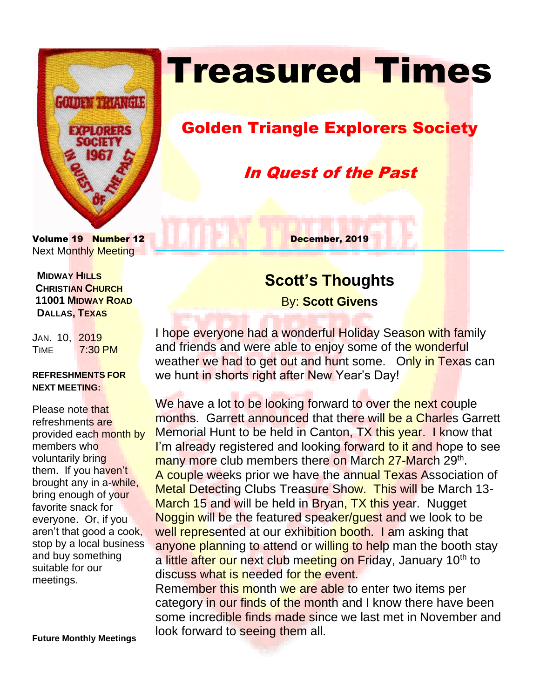

# **Treasured Times**

### Golden Triangle Explorers Society

### In Quest of the Past

Volume 19 Number 12 December, 2019 Next Monthly Meeting

 **MIDWAY HILLS CHRISTIAN CHURCH 11001 MIDWAY ROAD DALLAS, TEXAS**

JAN. 10, 2019 TIME 7:30 PM

#### **REFRESHMENTS FOR NEXT MEETING:**

Please note that refreshments are provided each month by members who voluntarily bring them. If you haven't brought any in a-while, bring enough of your favorite snack for everyone. Or, if you aren't that good a cook, stop by a local business and buy something suitable for our meetings.

**Future Monthly Meetings**

# **Scott's Thoughts**

By: **Scott Givens**

I hope everyone had a wonderful Holiday Season with family and friends and were able to enjoy some of the wonderful weather we had to get out and hunt some. Only in Texas can we hunt in shorts right after New Year's Day!

We have a lot to be looking forward to over the next couple months. Garrett announced that there will be a Charles Garrett Memorial Hunt to be held in Canton, TX this year. I know that I'm already registered and looking forward to it and hope to see many more club members there on March 27-March 29<sup>th</sup>. A couple weeks prior we have the annual Texas Association of Metal Detecting Clubs Treasure Show. This will be March 13- March 15 and will be held in Bryan, TX this year. Nugget Noggin will be the featured speaker/guest and we look to be well represented at our exhibition booth. I am asking that anyone planning to attend or willing to help man the booth stay a little after our next club meeting on Friday, January 10<sup>th</sup> to discuss what is needed for the event.

Remember this month we are able to enter two items per category in our finds of the month and I know there have been some incredible finds made since we last met in November and look forward to seeing them all.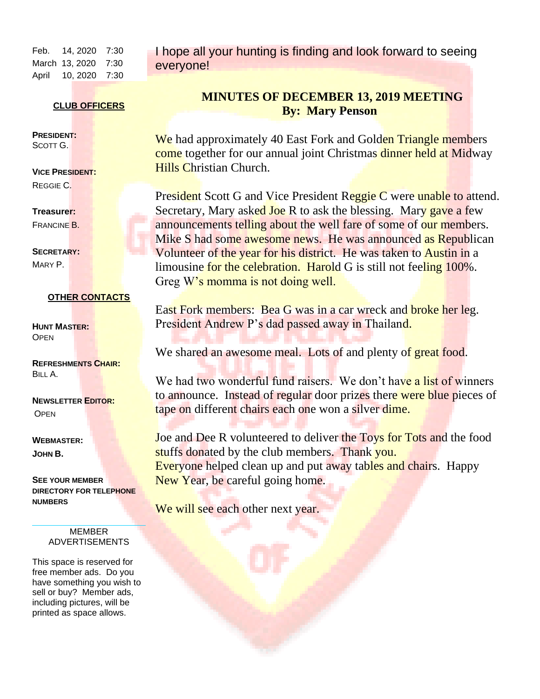Feb. 14, 2020 7:30 March 13, 2020 7:30 April 10, 2020 7:30

I hope all your hunting is finding and look forward to seeing everyone!

#### **CLUB OFFICERS**

**PRESIDENT:** SCOTT G.

**VICE PRESIDENT:**  REGGIE C.

**Treasurer:**  FRANCINE B.

**SECRETARY:**  MARY P.

#### **OTHER CONTACTS**

**HUNT MASTER: OPEN** 

**REFRESHMENTS CHAIR:** BILL A.

#### **NEWSLETTER EDITOR: OPEN**

**WEBMASTER: JOHN B.**

**SEE YOUR MEMBER DIRECTORY FOR TELEPHONE NUMBERS**

> MEMBER ADVERTISEMENTS

This space is reserved for free member ads. Do you have something you wish to sell or buy? Member ads, including pictures, will be printed as space allows.

#### **MINUTES OF DECEMBER 13, 2019 MEETING By: Mary Penson**

We had approximately 40 East Fork and Golden Triangle members come together for our annual joint Christmas dinner held at Midway Hills Christian Church.

President Scott G and Vice President Reggie C were unable to attend. Secretary, Mary asked Joe R to ask the blessing. Mary gave a few announcements telling about the well fare of some of our members. Mike S had some awesome news. He was announced as Republican Volunteer of the year for his district. He was taken to Austin in a limousine for the celebration. Harold G is still not feeling 100%. Greg W's momma is not doing well.

East Fork members: Bea G was in a car wreck and broke her leg. President Andrew P's dad passed away in Thailand.

We shared an awesome meal. Lots of and plenty of great food.

We had two wonderful fund raisers. We don't have a list of winners to announce. Instead of regular door prizes there were blue pieces of tape on different chairs each one won a silver dime.

Joe and Dee R volunteered to deliver the Toys for Tots and the food stuffs donated by the club members. Thank you. Everyone helped clean up and put away tables and chairs. Happy New Year, be careful going home.

We will see each other next year.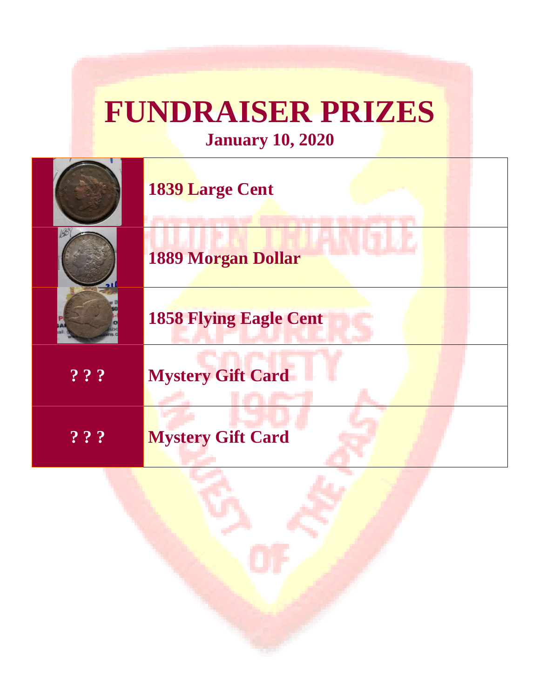# **FUNDRAISER PRIZES**

**January 10, 2020**

|       | <b>1839 Large Cent</b>        |
|-------|-------------------------------|
|       | <b>1889 Morgan Dollar</b>     |
|       | <b>1858 Flying Eagle Cent</b> |
| ? ? ? | <b>Mystery Gift Card</b>      |
| ???   | <b>Mystery Gift Card</b>      |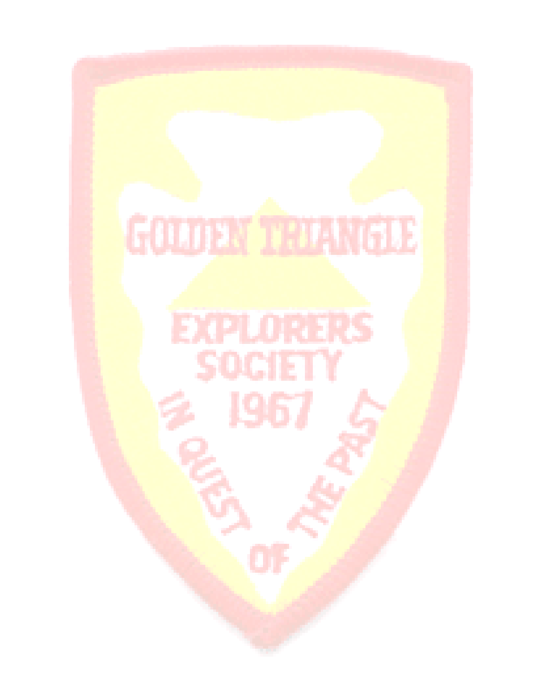